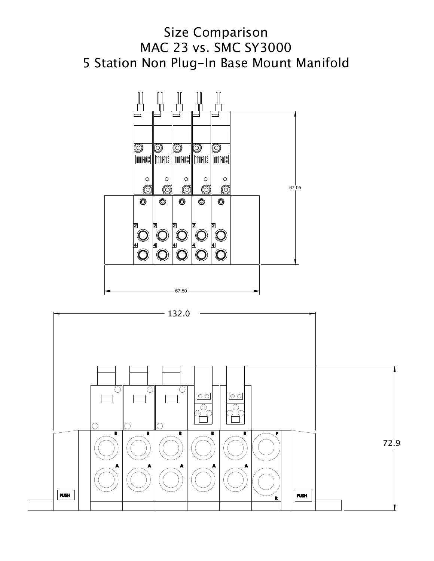



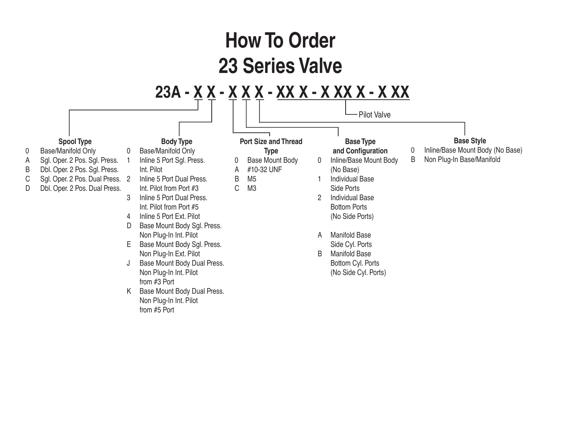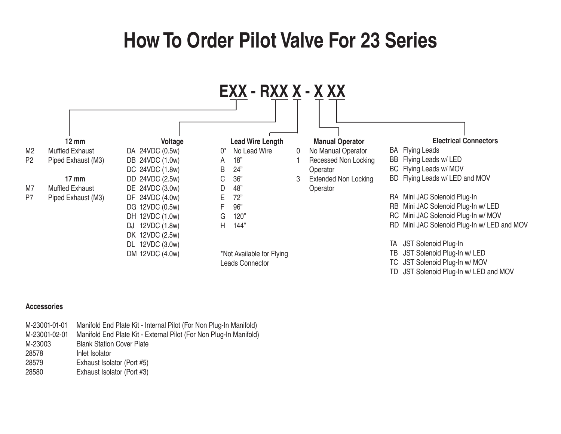## **How To Order Pilot Valve For 23 Series**



## **Accessories**

| M-23001-01-01 | Manifold End Plate Kit - Internal Pilot (For Non Plug-In Manifold) |  |  |
|---------------|--------------------------------------------------------------------|--|--|
| M-23001-02-01 | Manifold End Plate Kit - External Pilot (For Non Plug-In Manifold) |  |  |
| M-23003       | <b>Blank Station Cover Plate</b>                                   |  |  |
| 28578         | Inlet Isolator                                                     |  |  |
| 28579         | Exhaust Isolator (Port #5)                                         |  |  |
| 28580         | Exhaust Isolator (Port #3)                                         |  |  |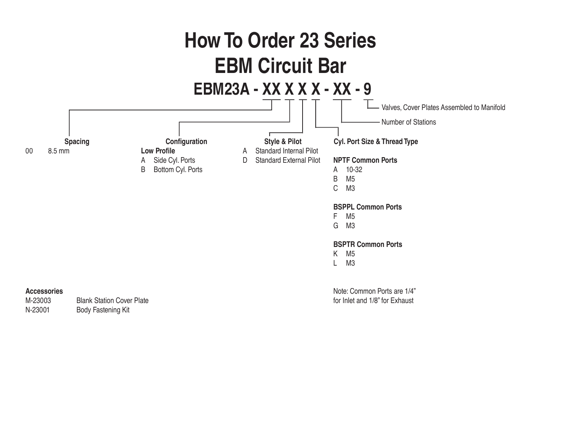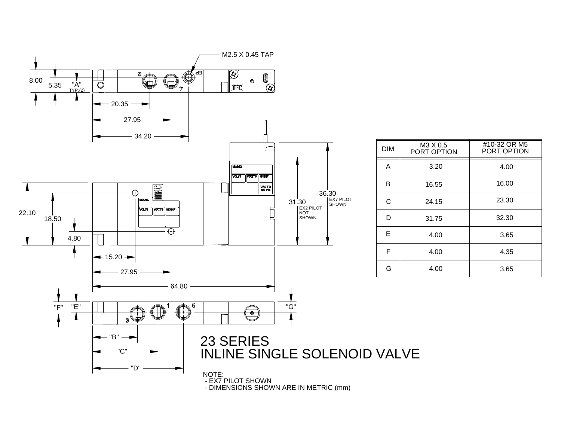

- DIMENSIONS SHOWN ARE IN METRIC (mm)

|                                        | <b>DIM</b> | M3 X 0.5<br>PORT OPTION | #10-32 OR M5<br>PORT OPTION |
|----------------------------------------|------------|-------------------------|-----------------------------|
| 30<br><b>EX7 PILOT</b><br><b>SHOWN</b> | A          | 3.20                    | 4.00                        |
|                                        | В          | 16.55                   | 16.00                       |
|                                        | C          | 24.15                   | 23.30                       |
|                                        | D          | 31.75                   | 32.30                       |
|                                        | E          | 4.00                    | 3.65                        |
|                                        | F          | 4.00                    | 4.35                        |
|                                        | G          | 4.00                    | 3.65                        |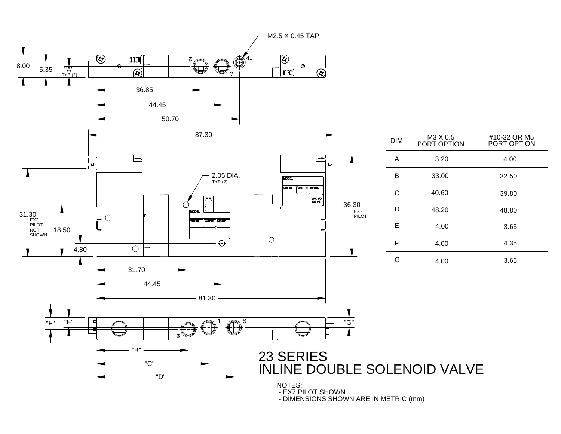

- DIMENSIONS SHOWN ARE IN METRIC (mm)

#10-32 OR M5

PORT OPTION

4.00

32.50

39.80

48.80

3.65

4.35

3.65

4.00

3.20

4.00

4.00